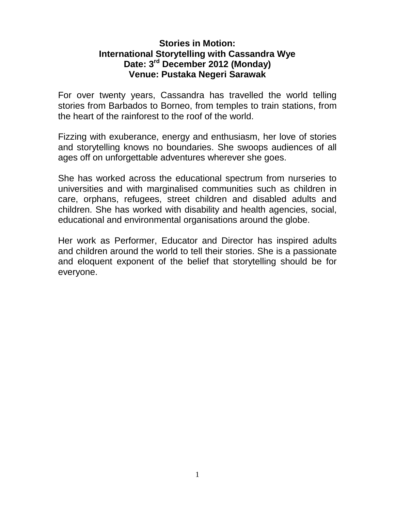## **Stories in Motion: International Storytelling with Cassandra Wye Date: 3 rd December 2012 (Monday) Venue: Pustaka Negeri Sarawak**

For over twenty years, Cassandra has travelled the world telling stories from Barbados to Borneo, from temples to train stations, from the heart of the rainforest to the roof of the world.

Fizzing with exuberance, energy and enthusiasm, her love of stories and storytelling knows no boundaries. She swoops audiences of all ages off on unforgettable adventures wherever she goes.

She has worked across the educational spectrum from nurseries to universities and with marginalised communities such as children in care, orphans, refugees, street children and disabled adults and children. She has worked with disability and health agencies, social, educational and environmental organisations around the globe.

Her work as Performer, Educator and Director has inspired adults and children around the world to tell their stories. She is a passionate and eloquent exponent of the belief that storytelling should be for everyone.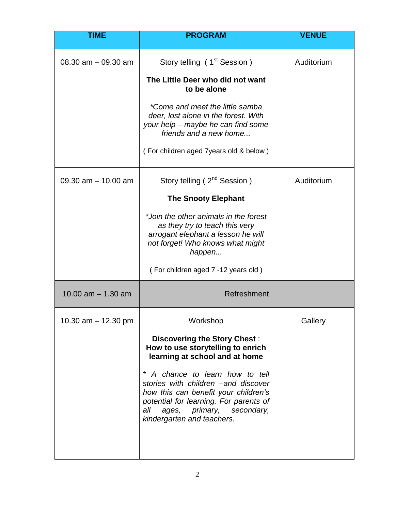| <b>TIME</b>           | <b>PROGRAM</b>                                                                                                                                                                                                                                                                                                                                     | <b>VENUE</b> |
|-----------------------|----------------------------------------------------------------------------------------------------------------------------------------------------------------------------------------------------------------------------------------------------------------------------------------------------------------------------------------------------|--------------|
| 08.30 $am - 09.30 am$ | Story telling (1 <sup>st</sup> Session)<br>The Little Deer who did not want<br>to be alone<br>*Come and meet the little samba<br>deer, lost alone in the forest. With<br>your help – maybe he can find some<br>friends and a new home<br>(For children aged 7 years old & below)                                                                   | Auditorium   |
| 09.30 $am - 10.00$ am | Story telling (2 <sup>nd</sup> Session)<br><b>The Snooty Elephant</b><br>*Join the other animals in the forest<br>as they try to teach this very<br>arrogant elephant a lesson he will<br>not forget! Who knows what might<br>happen<br>(For children aged 7 -12 years old)                                                                        | Auditorium   |
| 10.00 $am - 1.30 am$  | Refreshment                                                                                                                                                                                                                                                                                                                                        |              |
| 10.30 $am - 12.30$ pm | Workshop<br><b>Discovering the Story Chest:</b><br>How to use storytelling to enrich<br>learning at school and at home<br>A chance to learn how to tell<br>stories with children -and discover<br>how this can benefit your children's<br>potential for learning. For parents of<br>all<br>ages, primary, secondary,<br>kindergarten and teachers. | Gallery      |